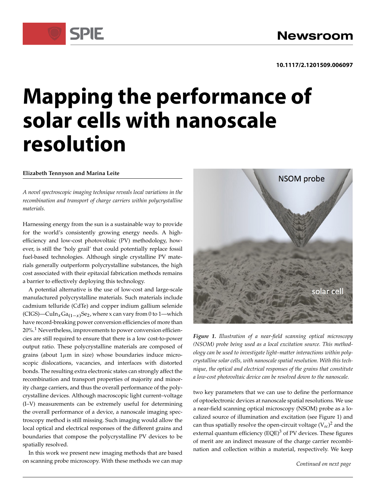# **Mapping the performance of solar cells with nanoscale resolution**

## **Elizabeth Tennyson and Marina Leite**

SPIE

*A novel spectroscopic imaging technique reveals local variations in the recombination and transport of charge carriers within polycrystalline materials.*

Harnessing energy from the sun is a sustainable way to provide for the world's consistently growing energy needs. A highefficiency and low-cost photovoltaic (PV) methodology, however, is still the 'holy grail' that could potentially replace fossil fuel-based technologies. Although single crystalline PV materials generally outperform polycrystalline substances, the high cost associated with their epitaxial fabrication methods remains a barrier to effectively deploying this technology.

A potential alternative is the use of low-cost and large-scale manufactured polycrystalline materials. Such materials include cadmium telluride (CdTe) and copper indium gallium selenide (CIGS)—CuIn<sub>x</sub>Ga<sub>(1-x)</sub>Se<sub>2</sub>, where x can vary from 0 to 1—which have record-breaking power conversion efficiencies of more than 20%.<sup>1</sup> Nevertheless, improvements to power conversion efficiencies are still required to ensure that there is a low cost-to-power output ratio. These polycrystalline materials are composed of grains (about  $1\mu$ m in size) whose boundaries induce microscopic dislocations, vacancies, and interfaces with distorted bonds. The resulting extra electronic states can strongly affect the recombination and transport properties of majority and minority charge carriers, and thus the overall performance of the polycrystalline devices. Although macroscopic light current–voltage (I–V) measurements can be extremely useful for determining the overall performance of a device, a nanoscale imaging spectroscopy method is still missing. Such imaging would allow the local optical and electrical responses of the different grains and boundaries that compose the polycrystalline PV devices to be spatially resolved.

In this work we present new imaging methods that are based on scanning probe microscopy. With these methods we can map



*Figure 1. Illustration of a near-field scanning optical microscopy (NSOM) probe being used as a local excitation source. This methodology can be used to investigate light–matter interactions within polycrystalline solar cells, with nanoscale spatial resolution. With this technique, the optical and electrical responses of the grains that constitute a low-cost photovoltaic device can be resolved down to the nanoscale.*

two key parameters that we can use to define the performance of optoelectronic devices at nanoscale spatial resolutions. We use a near-field scanning optical microscopy (NSOM) probe as a localized source of illumination and excitation (see Figure 1) and can thus spatially resolve the open-circuit voltage  $(V_{oc})^2$  and the external quantum efficiency (EQE)<sup>3</sup> of PV devices. These figures of merit are an indirect measure of the charge carrier recombination and collection within a material, respectively. We keep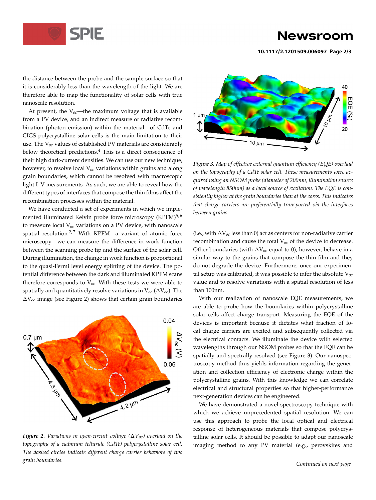

## Newsroom

**10.1117/2.1201509.006097 Page 2/3**

the distance between the probe and the sample surface so that it is considerably less than the wavelength of the light. We are therefore able to map the functionality of solar cells with true nanoscale resolution.

At present, the  $V_{0c}$ —the maximum voltage that is available from a PV device, and an indirect measure of radiative recombination (photon emission) within the material—of CdTe and CIGS polycrystalline solar cells is the main limitation to their use. The V*oc* values of established PV materials are considerably below theoretical predictions.<sup>4</sup> This is a direct consequence of their high dark-current densities. We can use our new technique, however, to resolve local V*oc* variations within grains and along grain boundaries, which cannot be resolved with macroscopic light I–V measurements. As such, we are able to reveal how the different types of interfaces that compose the thin films affect the recombination processes within the material.

We have conducted a set of experiments in which we implemented illuminated Kelvin probe force microscopy (KPFM)<sup>5,6</sup> to measure local V*oc* variations on a PV device, with nanoscale spatial resolution.<sup>2,7</sup> With KPFM—a variant of atomic force microscopy—we can measure the difference in work function between the scanning probe tip and the surface of the solar cell. During illumination, the change in work function is proportional to the quasi-Fermi level energy splitting of the device. The potential difference between the dark and illuminated KPFM scans therefore corresponds to V*oc*. With these tests we were able to spatially and quantitatively resolve variations in  $V_{oc}$  ( $\Delta V_{oc}$ ). The  $\Delta V_{oc}$  image (see Figure 2) shows that certain grain boundaries



*Figure 2. Variations in open-circuit voltage*  $(\Delta V_{oc})$  overlaid on the *topography of a cadmium telluride (CdTe) polycrystalline solar cell. The dashed circles indicate different charge carrier behaviors of two grain boundaries.*



*Figure 3. Map of effective external quantum efficiency (EQE) overlaid on the topography of a CdTe solar cell. These measurements were acquired using an NSOM probe (diameter of 200nm, illumination source of wavelength 850nm) as a local source of excitation. The EQE is consistently higher at the grain boundaries than at the cores. This indicates that charge carriers are preferentially transported via the interfaces between grains.*

(i.e., with  $\Delta V_{oc}$  less than 0) act as centers for non-radiative carrier recombination and cause the total V*oc* of the device to decrease. Other boundaries (with  $\Delta V_{oc}$  equal to 0), however, behave in a similar way to the grains that compose the thin film and they do not degrade the device. Furthermore, once our experimental setup was calibrated, it was possible to infer the absolute V*oc* value and to resolve variations with a spatial resolution of less than 100nm.

With our realization of nanoscale EQE measurements, we are able to probe how the boundaries within polycrystalline solar cells affect charge transport. Measuring the EQE of the devices is important because it dictates what fraction of local charge carriers are excited and subsequently collected via the electrical contacts. We illuminate the device with selected wavelengths through our NSOM probes so that the EQE can be spatially and spectrally resolved (see Figure 3). Our nanospectroscopy method thus yields information regarding the generation and collection efficiency of electronic charge within the polycrystalline grains. With this knowledge we can correlate electrical and structural properties so that higher-performance next-generation devices can be engineered.

We have demonstrated a novel spectroscopy technique with which we achieve unprecedented spatial resolution. We can use this approach to probe the local optical and electrical response of heterogeneous materials that compose polycrystalline solar cells. It should be possible to adapt our nanoscale imaging method to any PV material (e.g., perovskites and